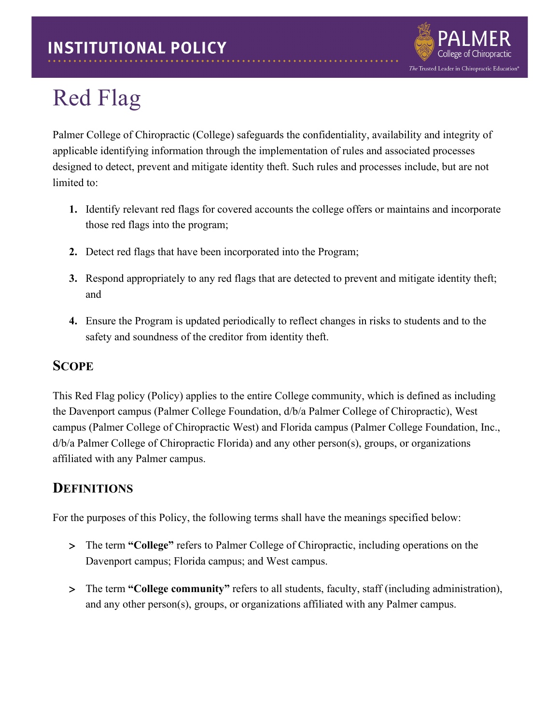

# Red Flag

Palmer College of Chiropractic (College) safeguards the confidentiality, availability and integrity of applicable identifying information through the implementation of rules and associated processes designed to detect, prevent and mitigate identity theft. Such rules and processes include, but are not limited to:

- **1.** Identify relevant red flags for covered accounts the college offers or maintains and incorporate those red flags into the program;
- **2.** Detect red flags that have been incorporated into the Program;
- **3.** Respond appropriately to any red flags that are detected to prevent and mitigate identity theft; and
- **4.** Ensure the Program is updated periodically to reflect changes in risks to students and to the safety and soundness of the creditor from identity theft.

#### **SCOPE**

This Red Flag policy (Policy) applies to the entire College community, which is defined as including the Davenport campus (Palmer College Foundation, d/b/a Palmer College of Chiropractic), West campus (Palmer College of Chiropractic West) and Florida campus (Palmer College Foundation, Inc., d/b/a Palmer College of Chiropractic Florida) and any other person(s), groups, or organizations affiliated with any Palmer campus.

## **DEFINITIONS**

For the purposes of this Policy, the following terms shall have the meanings specified below:

- > The term **"College"** refers to Palmer College of Chiropractic, including operations on the Davenport campus; Florida campus; and West campus.
- > The term **"College community"** refers to all students, faculty, staff (including administration), and any other person(s), groups, or organizations affiliated with any Palmer campus.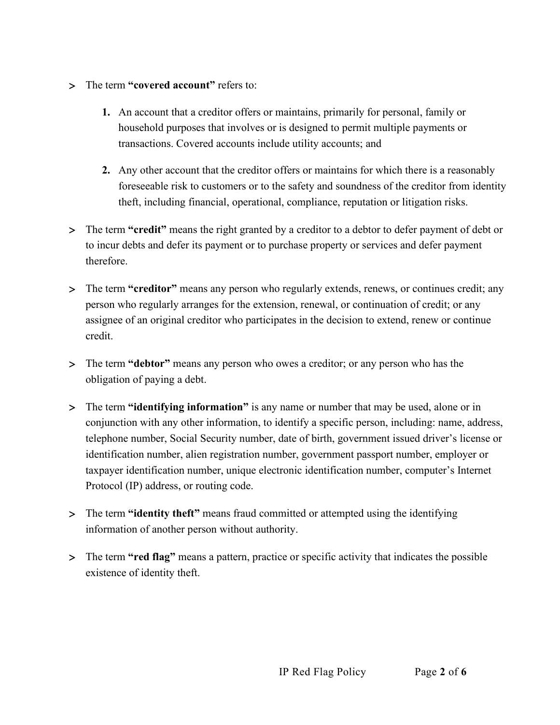- > The term **"covered account"** refers to:
	- **1.** An account that a creditor offers or maintains, primarily for personal, family or household purposes that involves or is designed to permit multiple payments or transactions. Covered accounts include utility accounts; and
	- **2.** Any other account that the creditor offers or maintains for which there is a reasonably foreseeable risk to customers or to the safety and soundness of the creditor from identity theft, including financial, operational, compliance, reputation or litigation risks.
- > The term **"credit"** means the right granted by a creditor to a debtor to defer payment of debt or to incur debts and defer its payment or to purchase property or services and defer payment therefore.
- > The term **"creditor"** means any person who regularly extends, renews, or continues credit; any person who regularly arranges for the extension, renewal, or continuation of credit; or any assignee of an original creditor who participates in the decision to extend, renew or continue credit.
- > The term **"debtor"** means any person who owes a creditor; or any person who has the obligation of paying a debt.
- > The term **"identifying information"** is any name or number that may be used, alone or in conjunction with any other information, to identify a specific person, including: name, address, telephone number, Social Security number, date of birth, government issued driver's license or identification number, alien registration number, government passport number, employer or taxpayer identification number, unique electronic identification number, computer's Internet Protocol (IP) address, or routing code.
- > The term **"identity theft"** means fraud committed or attempted using the identifying information of another person without authority.
- > The term **"red flag"** means a pattern, practice or specific activity that indicates the possible existence of identity theft.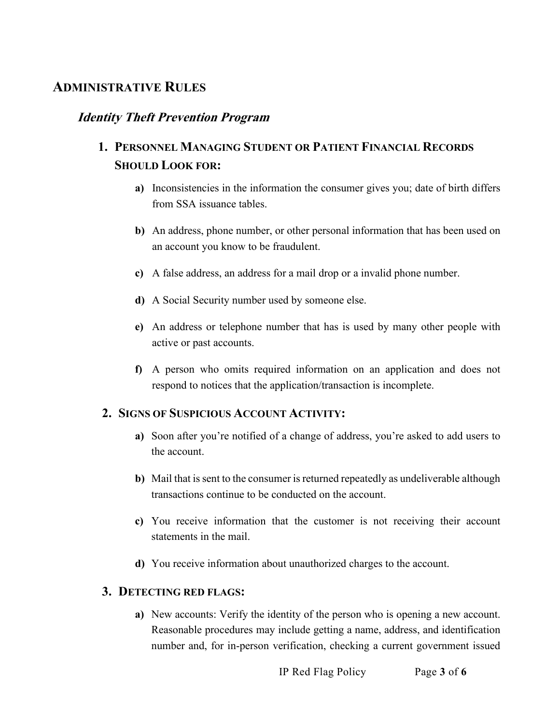#### **ADMINISTRATIVE RULES**

#### **Identity Theft Prevention Program**

## **1. PERSONNEL MANAGING STUDENT OR PATIENT FINANCIAL RECORDS SHOULD LOOK FOR:**

- **a)** Inconsistencies in the information the consumer gives you; date of birth differs from SSA issuance tables.
- **b)** An address, phone number, or other personal information that has been used on an account you know to be fraudulent.
- **c)** A false address, an address for a mail drop or a invalid phone number.
- **d)** A Social Security number used by someone else.
- **e)** An address or telephone number that has is used by many other people with active or past accounts.
- **f)** A person who omits required information on an application and does not respond to notices that the application/transaction is incomplete.

#### **2. SIGNS OF SUSPICIOUS ACCOUNT ACTIVITY:**

- **a)** Soon after you're notified of a change of address, you're asked to add users to the account.
- **b)** Mail that is sent to the consumer is returned repeatedly as undeliverable although transactions continue to be conducted on the account.
- **c)** You receive information that the customer is not receiving their account statements in the mail.
- **d)** You receive information about unauthorized charges to the account.

#### **3. DETECTING RED FLAGS:**

**a)** New accounts: Verify the identity of the person who is opening a new account. Reasonable procedures may include getting a name, address, and identification number and, for in-person verification, checking a current government issued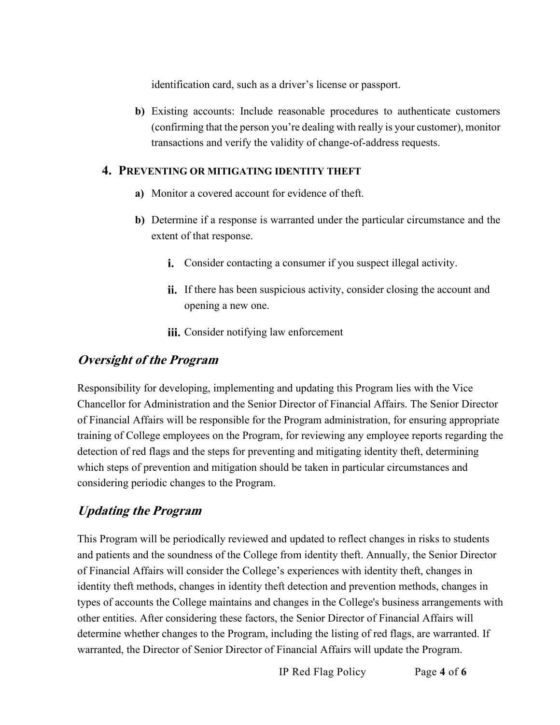identification card, such as a driver's license or passport.

**b)** Existing accounts: Include reasonable procedures to authenticate customers (confirming that the person you're dealing with really is your customer), monitor transactions and verify the validity of change-of-address requests.

#### **4. PREVENTING OR MITIGATING IDENTITY THEFT**

- **a)** Monitor a covered account for evidence of theft.
- **b)** Determine if a response is warranted under the particular circumstance and the extent of that response.
	- Consider contacting a consumer if you suspect illegal activity.
	- i. If there has been suspicious activity, consider closing the account and opening a new one.
	- iii. Consider notifying law enforcement

#### **Oversight of the Program**

Responsibility for developing, implementing and updating this Program lies with the Vice Chancellor for Administration and the Senior Director of Financial Affairs. The Senior Director of Financial Affairs will be responsible for the Program administration, for ensuring appropriate training of College employees on the Program, for reviewing any employee reports regarding the detection of red flags and the steps for preventing and mitigating identity theft, determining which steps of prevention and mitigation should be taken in particular circumstances and considering periodic changes to the Program.

## **Updating the Program**

This Program will be periodically reviewed and updated to reflect changes in risks to students and patients and the soundness of the College from identity theft. Annually, the Senior Director of Financial Affairs will consider the College's experiences with identity theft, changes in identity theft methods, changes in identity theft detection and prevention methods, changes in types of accounts the College maintains and changes in the College's business arrangements with other entities. After considering these factors, the Senior Director of Financial Affairs will determine whether changes to the Program, including the listing of red flags, are warranted. If warranted, the Director of Senior Director of Financial Affairs will update the Program.

IP Red Flag Policy Page **4** of **6**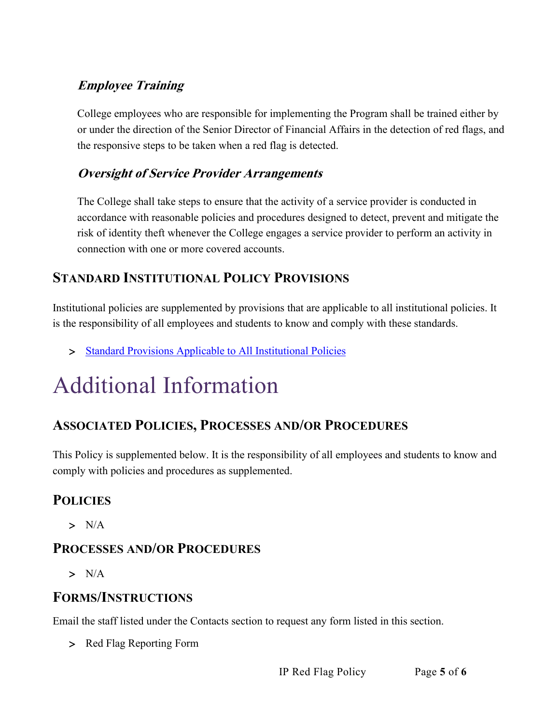## **Employee Training**

College employees who are responsible for implementing the Program shall be trained either by or under the direction of the Senior Director of Financial Affairs in the detection of red flags, and the responsive steps to be taken when a red flag is detected.

#### **Oversight of Service Provider Arrangements**

The College shall take steps to ensure that the activity of a service provider is conducted in accordance with reasonable policies and procedures designed to detect, prevent and mitigate the risk of identity theft whenever the College engages a service provider to perform an activity in connection with one or more covered accounts.

## **STANDARD INSTITUTIONAL POLICY PROVISIONS**

Institutional policies are supplemented by provisions that are applicable to all institutional policies. It is the responsibility of all employees and students to know and comply with these standards.

> [Standard Provisions Applicable to All Institutional Policies](http://www.palmer.edu/uploadedFiles/Pages/Students/Resources_and_Offices/Handbook_and_Policies/_pdf/Standard-Provisions-Applicable-to-All-Institutional-Policies.pdf)

# Additional Information

## **ASSOCIATED POLICIES, PROCESSES AND/OR PROCEDURES**

This Policy is supplemented below. It is the responsibility of all employees and students to know and comply with policies and procedures as supplemented.

## **POLICIES**

 $> N/A$ 

## **PROCESSES AND/OR PROCEDURES**

 $> N/A$ 

## **FORMS/INSTRUCTIONS**

Email the staff listed under the Contacts section to request any form listed in this section.

> Red Flag Reporting Form